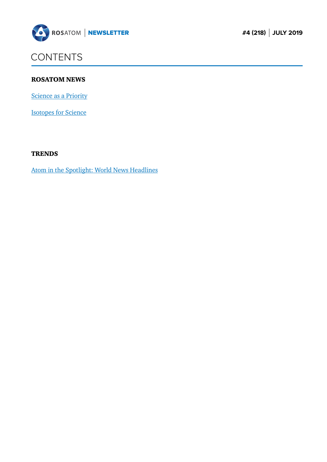<span id="page-0-0"></span>

## **CONTENTS**

#### ROSATOM NEWS

[Science as a Priority](#page-1-0)

[Isotopes for Science](#page-3-0)

#### **TRENDS**

[Atom in the Spotlight: World News Headlines](#page-6-0)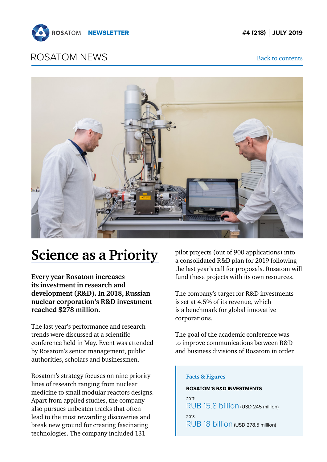<span id="page-1-0"></span>

### ROSATOM NEWS [Back to contents](#page-0-0)



# **Science as a Priority**

**Every year Rosatom increases its investment in research and development (R&D). In 2018, Russian nuclear corporation's R&D investment reached \$278 million.**

The last year's performance and research trends were discussed at a scientific conference held in May. Event was attended by Rosatom's senior management, public authorities, scholars and businessmen.

Rosatom's strategy focuses on nine priority lines of research ranging from nuclear medicine to small modular reactors designs. Apart from applied studies, the company also pursues unbeaten tracks that often lead to the most rewarding discoveries and break new ground for creating fascinating technologies. The company included 131

pilot projects (out of 900 applications) into a consolidated R&D plan for 2019 following the last year's call for proposals. Rosatom will fund these projects with its own resources.

The company's target for R&D investments is set at 4.5% of its revenue, which is a benchmark for global innovative corporations.

The goal of the academic conference was to improve communications between R&D and business divisions of Rosatom in order

#### **Facts & Figures**

#### **ROSATOM'S R&D INVESTMENTS**

2017: RUB 15.8 billion (USD 245 million) 2018: RUB 18 billion (USD 278.5 million)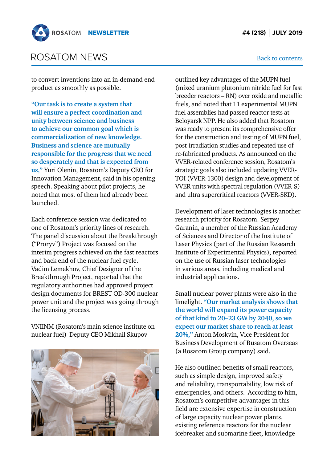

### ROSATOM NEWS

to convert inventions into an in-demand end product as smoothly as possible.

**"Our task is to create a system that will ensure a perfect coordination and unity between science and business to achieve our common goal which is commercialization of new knowledge. Business and science are mutually responsible for the progress that we need so desperately and that is expected from us,"** Yuri Olenin, Rosatom's Deputy CEO for Innovation Management, said in his opening speech. Speaking about pilot projects, he noted that most of them had already been launched.

Each conference session was dedicated to one of Rosatom's priority lines of research. The panel discussion about the Breakthrough ("Proryv") Project was focused on the interim progress achieved on the fast reactors and back end of the nuclear fuel cycle. Vadim Lemekhov, Chief Designer of the Breakthrough Project, reported that the regulatory authorities had approved project design documents for BREST OD-300 nuclear power unit and the project was going through the licensing process.

VNIINM (Rosatom's main science institute on nuclear fuel) Deputy CEO Mikhail Skupov



outlined key advantages of the MUPN fuel (mixed uranium plutonium nitride fuel for fast breeder reactors – RN) over oxide and metallic fuels, and noted that 11 experimental MUPN fuel assemblies had passed reactor tests at Beloyarsk NPP. He also added that Rosatom was ready to present its comprehensive offer for the construction and testing of MUPN fuel, post-irradiation studies and repeated use of re-fabricated products. As announced on the VVER-related conference session, Rosatom's strategic goals also included updating VVER-TOI (VVER-1300) design and development of VVER units with spectral regulation (VVER-S) and ultra supercritical reactors (VVER-SKD).

Development of laser technologies is another research priority for Rosatom. Sergey Garanin, a member of the Russian Academy of Sciences and Director of the Institute of Laser Physics (part of the Russian Research Institute of Experimental Physics), reported on the use of Russian laser technologies in various areas, including medical and industrial applications.

Small nuclear power plants were also in the limelight. **"Our market analysis shows that the world will expand its power capacity of that kind to 20–23 GW by 2040, so we expect our market share to reach at least 20%,"** Anton Moskvin, Vice President for Business Development of Rusatom Overseas (a Rosatom Group company) said.

He also outlined benefits of small reactors, such as simple design, improved safety and reliability, transportability, low risk of emergencies, and others. According to him, Rosatom's competitive advantages in this field are extensive expertise in construction of large capacity nuclear power plants, existing reference reactors for the nuclear icebreaker and submarine fleet, knowledge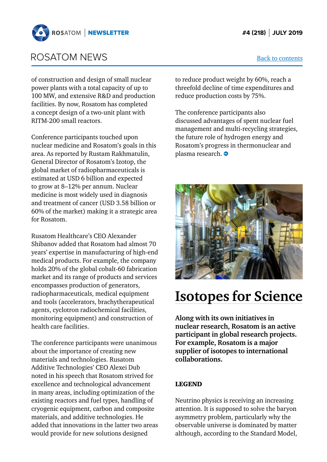<span id="page-3-0"></span>

### ROSATOM NEWS [Back to contents](#page-0-0)

of construction and design of small nuclear power plants with a total capacity of up to 100 MW, and extensive R&D and production facilities. By now, Rosatom has completed a concept design of a two-unit plant with RITM-200 small reactors.

Conference participants touched upon nuclear medicine and Rosatom's goals in this area. As reported by Rustam Rakhmatulin, General Director of Rosatom's Izotop, the global market of radiopharmaceuticals is estimated at USD 6 billion and expected to grow at 8–12% per annum. Nuclear medicine is most widely used in diagnosis and treatment of cancer (USD 3.58 billion or 60% of the market) making it a strategic area for Rosatom.

Rusatom Healthcare's CEO Alexander Shibanov added that Rosatom had almost 70 years' expertise in manufacturing of high-end medical products. For example, the company holds 20% of the global cobalt-60 fabrication market and its range of products and services encompasses production of generators, radiopharmaceuticals, medical equipment and tools (accelerators, brachytherapeutical agents, cyclotron radiochemical facilities, monitoring equipment) and construction of health care facilities.

The conference participants were unanimous about the importance of creating new materials and technologies. Rusatom Additive Technologies' CEO Alexei Dub noted in his speech that Rosatom strived for excellence and technological advancement in many areas, including optimization of the existing reactors and fuel types, handling of cryogenic equipment, carbon and composite materials, and additive technologies. He added that innovations in the latter two areas would provide for new solutions designed

to reduce product weight by 60%, reach a threefold decline of time expenditures and reduce production costs by 75%.

The conference participants also discussed advantages of spent nuclear fuel management and multi-recycling strategies, the future role of hydrogen energy and Rosatom's progress in thermonuclear and plasma research.  $\bullet$ 



# **Isotopes for Science**

**Along with its own initiatives in nuclear research, Rosatom is an active participant in global research projects. For example, Rosatom is a major supplier of isotopes to international collaborations.**

#### LEGEND

Neutrino physics is receiving an increasing attention. It is supposed to solve the baryon asymmetry problem, particularly why the observable universe is dominated by matter although, according to the Standard Model,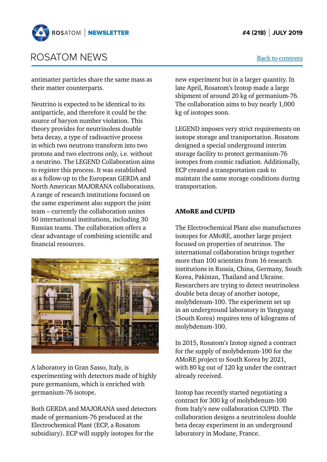

### ROSATOM NEWS

antimatter particles share the same mass as their matter counterparts.

Neutrino is expected to be identical to its antiparticle, and therefore it could be the source of baryon number violation. This theory provides for neutrinoless double beta decay, a type of radioactive process in which two neutrons transform into two protons and two electrons only, i.e. without a neutrino. The LEGEND Collaboration aims to register this process. It was established as a follow-up to the European GERDA and North American MAJORANA collaborations. A range of research institutions focused on the same experiment also support the joint team – currently the collaboration unites 50 international institutions, including 30 Russian teams. The collaboration offers a clear advantage of combining scientific and financial resources.



A laboratory in Gran Sasso, Italy, is experimenting with detectors made of highly pure germanium, which is enriched with germanium-76 isotope.

Both GERDA and MAJORANA used detectors made of germanium-76 produced at the Electrochemical Plant (ECP, a Rosatom subsidiary). ECP will supply isotopes for the

new experiment but in a larger quantity. In late April, Rosatom's Izotop made a large shipment of around 20 kg of germanium-76. The collaboration aims to buy nearly 1,000 kg of isotopes soon.

LEGEND imposes very strict requirements on isotope storage and transportation. Rosatom designed a special underground interim storage facility to protect germanium-76 isotopes from cosmic radiation. Additionally, ECP created a transportation cask to maintain the same storage conditions during transportation.

#### AMoRE and CUPID

The Electrochemical Plant also manufactures isotopes for AMoRE, another large project focused on properties of neutrinos. The international collaboration brings together more than 100 scientists from 16 research institutions in Russia, China, Germany, South Korea, Pakistan, Thailand and Ukraine. Researchers are trying to detect neutrinoless double beta decay of another isotope, molybdenum-100. The experiment set up in an underground laboratory in Yangyang (South Korea) requires tens of kilograms of molybdenum-100.

In 2015, Rosatom's Izotop signed a contract for the supply of molybdenum-100 for the AMoRE project to South Korea by 2021, with 80 kg out of 120 kg under the contract already received.

Izotop has recently started negotiating a contract for 300 kg of molybdenum-100 from Italy's new collaboration CUPID. The collaboration designs a neutrinoless double beta decay experiment in an underground laboratory in Modane, France.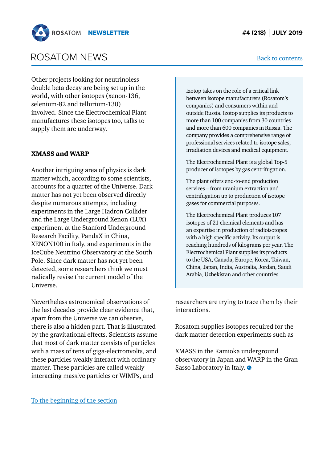

### ROSATOM NEWS

Other projects looking for neutrinoless double beta decay are being set up in the world, with other isotopes (xenon-136, selenium-82 and tellurium-130) involved. Since the Electrochemical Plant manufactures these isotopes too, talks to supply them are underway.

#### XMASS and WARP

Another intriguing area of physics is dark matter which, according to some scientists, accounts for a quarter of the Universe. Dark matter has not yet been observed directly despite numerous attempts, including experiments in the Large Hadron Collider and the Large Underground Xenon (LUX) experiment at the Stanford Underground Research Facility, PandaX in China, XENON100 in Italy, and experiments in the IceCube Neutrino Observatory at the South Pole. Since dark matter has not yet been detected, some researchers think we must radically revise the current model of the Universe.

Nevertheless astronomical observations of the last decades provide clear evidence that, apart from the Universe we can observe, there is also a hidden part. That is illustrated by the gravitational effects. Scientists assume that most of dark matter consists of particles with a mass of tens of giga-electronvolts, and these particles weakly interact with ordinary matter. These particles are called weakly interacting massive particles or WIMPs, and

Izotop takes on the role of a critical link between isotope manufacturers (Rosatom's companies) and consumers within and outside Russia. Izotop supplies its products to more than 100 companies from 30 countries and more than 600 companies in Russia. The company provides a comprehensive range of professional services related to isotope sales, irradiation devices and medical equipment.

The Electrochemical Plant is a global Top-5 producer of isotopes by gas centrifugation.

The plant offers end-to-end production services – from uranium extraction and centrifugation up to production of isotope gases for commercial purposes.

The Electrochemical Plant produces 107 isotopes of 21 chemical elements and has an expertise in production of radioisotopes with a high specific activity. Its output is reaching hundreds of kilograms per year. The Electrochemical Plant supplies its products to the USA, Canada, Europe, Korea, Taiwan, China, Japan, India, Australia, Jordan, Saudi Arabia, Uzbekistan and other countries.

researchers are trying to trace them by their interactions.

Rosatom supplies isotopes required for the dark matter detection experiments such as

XMASS in the Kamioka underground observatory in Japan and WARP in the Gran Sasso Laboratory in Italy.  $\bullet$ 

#### [To the beginning of the section](#page-1-0)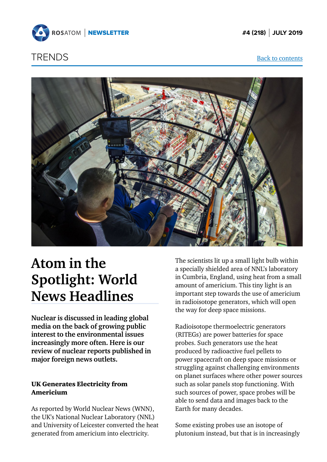<span id="page-6-0"></span>

### **TRENDS** [Back to contents](#page-0-0)



# **Atom in the Spotlight: World News Headlines**

**Nuclear is discussed in leading global media on the back of growing public interest to the environmental issues increasingly more often. Here is our review of nuclear reports published in major foreign news outlets.**

### UK Generates Electricity from Americium

As reported by World Nuclear News (WNN), the UK's National Nuclear Laboratory (NNL) and University of Leicester converted the heat generated from americium into electricity.

The scientists lit up a small light bulb within a specially shielded area of NNL's laboratory in Cumbria, England, using heat from a small amount of americium. This tiny light is an important step towards the use of americium in radioisotope generators, which will open the way for deep space missions.

Radioisotope thermoelectric generators (RITEGs) are power batteries for space probes. Such generators use the heat produced by radioactive fuel pellets to power spacecraft on deep space missions or struggling against challenging environments on planet surfaces where other power sources such as solar panels stop functioning. With such sources of power, space probes will be able to send data and images back to the Earth for many decades.

Some existing probes use an isotope of plutonium instead, but that is in increasingly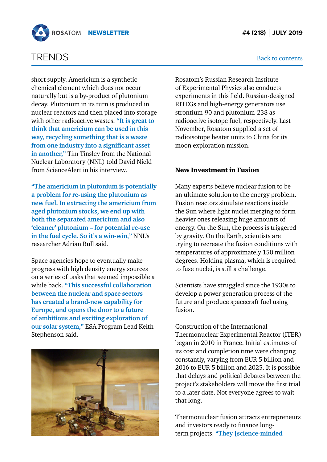

### TRENDS

short supply. Americium is a synthetic chemical element which does not occur naturally but is a by-product of plutonium decay. Plutonium in its turn is produced in nuclear reactors and then placed into storage with other radioactive wastes. **"It is great to think that americium can be used in this way, recycling something that is a waste from one industry into a significant asset in another,"** Tim Tinsley from the National Nuclear Laboratory (NNL) told David Nield from ScienceAlert in his interview.

**"The americium in plutonium is potentially a problem for re-using the plutonium as new fuel. In extracting the americium from aged plutonium stocks, we end up with both the separated americium and also 'cleaner' plutonium – for potential re-use in the fuel cycle. So it's a win-win,"** NNL's researcher Adrian Bull said.

Space agencies hope to eventually make progress with high density energy sources on a series of tasks that seemed impossible a while back. **"This successful collaboration between the nuclear and space sectors has created a brand-new capability for Europe, and opens the door to a future of ambitious and exciting exploration of our solar system,"** ESA Program Lead Keith Stephenson said.



Rosatom's Russian Research Institute of Experimental Physics also conducts experiments in this field. Russian-designed RITEGs and high-energy generators use strontium-90 and plutonium-238 as radioactive isotope fuel, respectively. Last November, Rosatom supplied a set of radioisotope heater units to China for its moon exploration mission.

#### New Investment in Fusion

Many experts believe nuclear fusion to be an ultimate solution to the energy problem. Fusion reactors simulate reactions inside the Sun where light nuclei merging to form heavier ones releasing huge amounts of energy. On the Sun, the process is triggered by gravity. On the Earth, scientists are trying to recreate the fusion conditions with temperatures of approximately 150 million degrees. Holding plasma, which is required to fuse nuclei, is still a challenge.

Scientists have struggled since the 1930s to develop a power generation process of the future and produce spacecraft fuel using fusion.

Construction of the International Thermonuclear Experimental Reactor (ITER) began in 2010 in France. Initial estimates of its cost and completion time were changing constantly, varying from EUR 5 billion and 2016 to EUR 5 billion and 2025. It is possible that delays and political debates between the project's stakeholders will move the first trial to a later date. Not everyone agrees to wait that long.

Thermonuclear fusion attracts entrepreneurs and investors ready to finance longterm projects. **"They [science-minded**